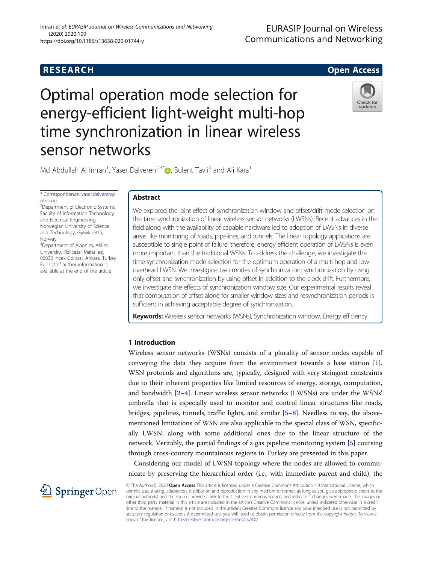## **RESEARCH CHE CHE Open Access**

# Optimal operation mode selection for energy-efficient light-weight multi-hop time synchronization in linear wireless sensor networks



Md Abdullah Al Imran<sup>1</sup>[,](http://orcid.org/0000-0002-9459-0042) Yaser Dalveren<sup>2,3\*</sup> <sub>D</sub>, Bulent Tavli<sup>4</sup> and Ali Kara<sup>1</sup>

\* Correspondence: [yaser.dalveren@](mailto:yaser.dalveren@ntnu.no) [ntnu.no](mailto:yaser.dalveren@ntnu.no) <sup>2</sup>Department of Electronic Systems,

Faculty of Information Technology and Electrical Engineering, Norwegian University of Science and Technology, Gjøvik 2815, Norway

<sup>3</sup>Department of Avionics, Atilim University, Kizilcasar Mahallesi, 06830 Incek Golbasi, Ankara, Turkey Full list of author information is available at the end of the article

## Abstract

We explored the joint effect of synchronization window and offset/drift mode selection on the time synchronization of linear wireless sensor networks (LWSNs). Recent advances in the field along with the availability of capable hardware led to adoption of LWSNs in diverse areas like monitoring of roads, pipelines, and tunnels. The linear topology applications are susceptible to single point of failure; therefore, energy efficient operation of LWSNs is even more important than the traditional WSNs. To address the challenge, we investigate the time synchronization mode selection for the optimum operation of a multi-hop and lowoverhead LWSN. We investigate two modes of synchronization: synchronization by using only offset and synchronization by using offset in addition to the clock drift. Furthermore, we investigate the effects of synchronization window size. Our experimental results reveal that computation of offset alone for smaller window sizes and resynchronization periods is sufficient in achieving acceptable degree of synchronization.

Keywords: Wireless sensor networks (WSNs), Synchronization window, Energy efficiency

## 1 Introduction

Wireless sensor networks (WSNs) consists of a plurality of sensor nodes capable of conveying the data they acquire from the environment towards a base station [\[1](#page-7-0)]. WSN protocols and algorithms are, typically, designed with very stringent constraints due to their inherent properties like limited resources of energy, storage, computation, and bandwidth [\[2](#page-7-0)–[4\]](#page-7-0). Linear wireless sensor networks (LWSNs) are under the WSNs' umbrella that is especially used to monitor and control linear structures like roads, bridges, pipelines, tunnels, traffic lights, and similar  $[5-8]$  $[5-8]$  $[5-8]$ . Needless to say, the abovementioned limitations of WSN are also applicable to the special class of WSN, specifically LWSN, along with some additional ones due to the linear structure of the network. Veritably, the partial findings of a gas pipeline monitoring system [[5\]](#page-7-0) coursing through cross-country mountainous regions in Turkey are presented in this paper.

Considering our model of LWSN topology where the nodes are allowed to communicate by preserving the hierarchical order (i.e., with immediate parent and child), the



© The Author(s). 2020 Open Access This article is licensed under a Creative Commons Attribution 4.0 International License, which permits use, sharing, adaptation, distribution and reproduction in any medium or format, as long as you give appropriate credit to the original author(s) and the source, provide a link to the Creative Commons licence, and indicate if changes were made. The images or other third party material in this article are included in the article's Creative Commons licence, unless indicated otherwise in a credit line to the material. If material is not included in the article's Creative Commons licence and your intended use is not permitted by statutory regulation or exceeds the permitted use, you will need to obtain permission directly from the copyright holder. To view a copy of this licence, visit <http://creativecommons.org/licenses/by/4.0/>.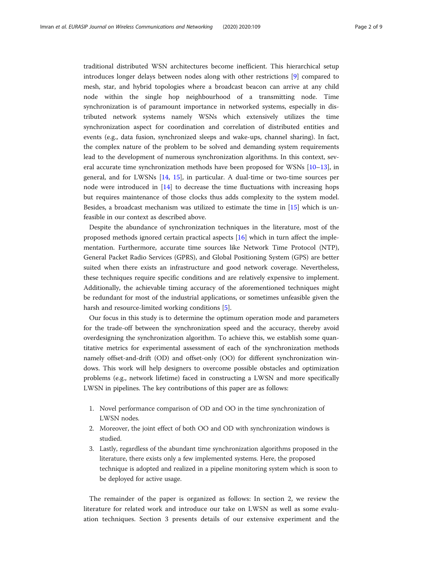traditional distributed WSN architectures become inefficient. This hierarchical setup introduces longer delays between nodes along with other restrictions [\[9](#page-7-0)] compared to mesh, star, and hybrid topologies where a broadcast beacon can arrive at any child node within the single hop neighbourhood of a transmitting node. Time synchronization is of paramount importance in networked systems, especially in distributed network systems namely WSNs which extensively utilizes the time synchronization aspect for coordination and correlation of distributed entities and events (e.g., data fusion, synchronized sleeps and wake-ups, channel sharing). In fact, the complex nature of the problem to be solved and demanding system requirements lead to the development of numerous synchronization algorithms. In this context, several accurate time synchronization methods have been proposed for WSNs [\[10](#page-7-0)–[13\]](#page-8-0), in general, and for LWSNs [[14](#page-8-0), [15\]](#page-8-0), in particular. A dual-time or two-time sources per node were introduced in [[14\]](#page-8-0) to decrease the time fluctuations with increasing hops but requires maintenance of those clocks thus adds complexity to the system model. Besides, a broadcast mechanism was utilized to estimate the time in [[15\]](#page-8-0) which is unfeasible in our context as described above.

Despite the abundance of synchronization techniques in the literature, most of the proposed methods ignored certain practical aspects [[16\]](#page-8-0) which in turn affect the implementation. Furthermore, accurate time sources like Network Time Protocol (NTP), General Packet Radio Services (GPRS), and Global Positioning System (GPS) are better suited when there exists an infrastructure and good network coverage. Nevertheless, these techniques require specific conditions and are relatively expensive to implement. Additionally, the achievable timing accuracy of the aforementioned techniques might be redundant for most of the industrial applications, or sometimes unfeasible given the harsh and resource-limited working conditions [[5\]](#page-7-0).

Our focus in this study is to determine the optimum operation mode and parameters for the trade-off between the synchronization speed and the accuracy, thereby avoid overdesigning the synchronization algorithm. To achieve this, we establish some quantitative metrics for experimental assessment of each of the synchronization methods namely offset-and-drift (OD) and offset-only (OO) for different synchronization windows. This work will help designers to overcome possible obstacles and optimization problems (e.g., network lifetime) faced in constructing a LWSN and more specifically LWSN in pipelines. The key contributions of this paper are as follows:

- 1. Novel performance comparison of OD and OO in the time synchronization of LWSN nodes.
- 2. Moreover, the joint effect of both OO and OD with synchronization windows is studied.
- 3. Lastly, regardless of the abundant time synchronization algorithms proposed in the literature, there exists only a few implemented systems. Here, the proposed technique is adopted and realized in a pipeline monitoring system which is soon to be deployed for active usage.

The remainder of the paper is organized as follows: In section 2, we review the literature for related work and introduce our take on LWSN as well as some evaluation techniques. Section 3 presents details of our extensive experiment and the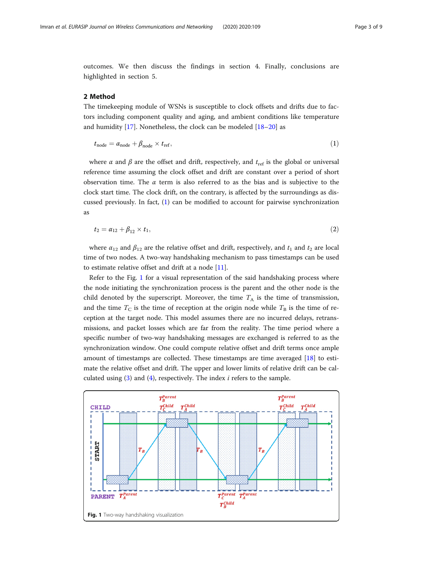<span id="page-2-0"></span>outcomes. We then discuss the findings in section 4. Finally, conclusions are highlighted in section 5.

## 2 Method

The timekeeping module of WSNs is susceptible to clock offsets and drifts due to factors including component quality and aging, and ambient conditions like temperature and humidity  $[17]$  $[17]$ . Nonetheless, the clock can be modeled  $[18–20]$  $[18–20]$  $[18–20]$  as

$$
t_{\text{node}} = \alpha_{\text{node}} + \beta_{\text{node}} \times t_{\text{ref}},\tag{1}
$$

where  $\alpha$  and  $\beta$  are the offset and drift, respectively, and  $t_{\text{ref}}$  is the global or universal reference time assuming the clock offset and drift are constant over a period of short observation time. The  $\alpha$  term is also referred to as the bias and is subjective to the clock start time. The clock drift, on the contrary, is affected by the surroundings as discussed previously. In fact, (1) can be modified to account for pairwise synchronization as

$$
t_2 = \alpha_{12} + \beta_{12} \times t_1,\tag{2}
$$

where  $\alpha_{12}$  and  $\beta_{12}$  are the relative offset and drift, respectively, and  $t_1$  and  $t_2$  are local time of two nodes. A two-way handshaking mechanism to pass timestamps can be used to estimate relative offset and drift at a node [\[11\]](#page-7-0).

Refer to the Fig. 1 for a visual representation of the said handshaking process where the node initiating the synchronization process is the parent and the other node is the child denoted by the superscript. Moreover, the time  $T_A$  is the time of transmission, and the time  $T_{\rm C}$  is the time of reception at the origin node while  $T_{\rm B}$  is the time of reception at the target node. This model assumes there are no incurred delays, retransmissions, and packet losses which are far from the reality. The time period where a specific number of two-way handshaking messages are exchanged is referred to as the synchronization window. One could compute relative offset and drift terms once ample amount of timestamps are collected. These timestamps are time averaged [[18\]](#page-8-0) to estimate the relative offset and drift. The upper and lower limits of relative drift can be calculated using  $(3)$  $(3)$  and  $(4)$ , respectively. The index *i* refers to the sample.

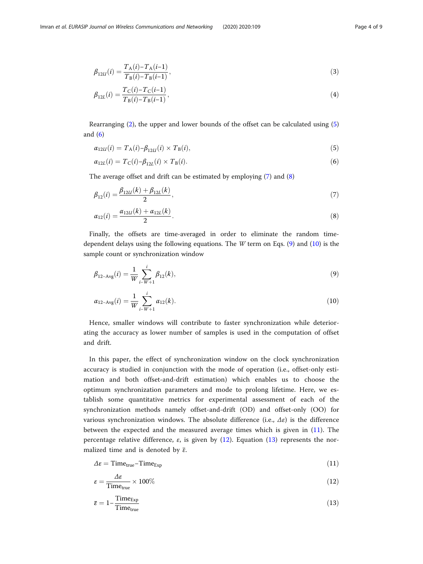<span id="page-3-0"></span>
$$
\beta_{12U}(i) = \frac{T_A(i) - T_A(i-1)}{T_B(i) - T_B(i-1)},\tag{3}
$$

$$
\beta_{12L}(i) = \frac{T_C(i) - T_C(i-1)}{T_B(i) - T_B(i-1)},\tag{4}
$$

Rearranging [\(2](#page-2-0)), the upper and lower bounds of the offset can be calculated using (5) and  $(6)$ 

$$
\alpha_{12U}(i) = T_{\mathcal{A}}(i) - \beta_{12U}(i) \times T_{\mathcal{B}}(i),\tag{5}
$$

$$
\alpha_{12L}(i) = T_{\rm C}(i) - \beta_{12L}(i) \times T_{\rm B}(i). \tag{6}
$$

The average offset and drift can be estimated by employing (7) and (8)

$$
\beta_{12}(i) = \frac{\beta_{12U}(k) + \beta_{12L}(k)}{2},\tag{7}
$$

$$
\alpha_{12}(i) = \frac{\alpha_{12U}(k) + \alpha_{12L}(k)}{2}.
$$
\n(8)

Finally, the offsets are time-averaged in order to eliminate the random timedependent delays using the following equations. The *W* term on Eqs.  $(9)$  and  $(10)$  is the sample count or synchronization window

$$
\beta_{12-\text{Avg}}(i) = \frac{1}{W} \sum_{i-W+1}^{i} \beta_{12}(k),\tag{9}
$$

$$
\alpha_{12-\text{Avg}}(i) = \frac{1}{W} \sum_{i-W+1}^{i} \alpha_{12}(k). \tag{10}
$$

Hence, smaller windows will contribute to faster synchronization while deteriorating the accuracy as lower number of samples is used in the computation of offset and drift.

In this paper, the effect of synchronization window on the clock synchronization accuracy is studied in conjunction with the mode of operation (i.e., offset-only estimation and both offset-and-drift estimation) which enables us to choose the optimum synchronization parameters and mode to prolong lifetime. Here, we establish some quantitative metrics for experimental assessment of each of the synchronization methods namely offset-and-drift (OD) and offset-only (OO) for various synchronization windows. The absolute difference (i.e.,  $\Delta \varepsilon$ ) is the difference between the expected and the measured average times which is given in (11). The percentage relative difference,  $\varepsilon$ , is given by (12). Equation (13) represents the normalized time and is denoted by  $\overline{\varepsilon}$ .

$$
\Delta \varepsilon = \text{Time}_{\text{true}} - \text{Time}_{\text{Exp}} \tag{11}
$$

$$
\varepsilon = \frac{\Delta \varepsilon}{\text{Time}_{\text{true}}} \times 100\%
$$
 (12)

$$
\bar{\varepsilon} = 1 - \frac{\text{Time}_{\text{Exp}}}{\text{Time}_{\text{true}}} \tag{13}
$$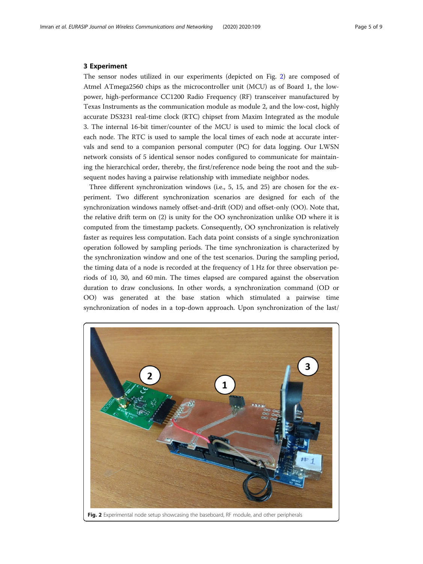## 3 Experiment

The sensor nodes utilized in our experiments (depicted on Fig. 2) are composed of Atmel ATmega2560 chips as the microcontroller unit (MCU) as of Board 1, the lowpower, high-performance CC1200 Radio Frequency (RF) transceiver manufactured by Texas Instruments as the communication module as module 2, and the low-cost, highly accurate DS3231 real-time clock (RTC) chipset from Maxim Integrated as the module 3. The internal 16-bit timer/counter of the MCU is used to mimic the local clock of each node. The RTC is used to sample the local times of each node at accurate intervals and send to a companion personal computer (PC) for data logging. Our LWSN network consists of 5 identical sensor nodes configured to communicate for maintaining the hierarchical order, thereby, the first/reference node being the root and the subsequent nodes having a pairwise relationship with immediate neighbor nodes.

Three different synchronization windows (i.e., 5, 15, and 25) are chosen for the experiment. Two different synchronization scenarios are designed for each of the synchronization windows namely offset-and-drift (OD) and offset-only (OO). Note that, the relative drift term on (2) is unity for the OO synchronization unlike OD where it is computed from the timestamp packets. Consequently, OO synchronization is relatively faster as requires less computation. Each data point consists of a single synchronization operation followed by sampling periods. The time synchronization is characterized by the synchronization window and one of the test scenarios. During the sampling period, the timing data of a node is recorded at the frequency of 1 Hz for three observation periods of 10, 30, and 60 min. The times elapsed are compared against the observation duration to draw conclusions. In other words, a synchronization command (OD or OO) was generated at the base station which stimulated a pairwise time synchronization of nodes in a top-down approach. Upon synchronization of the last/

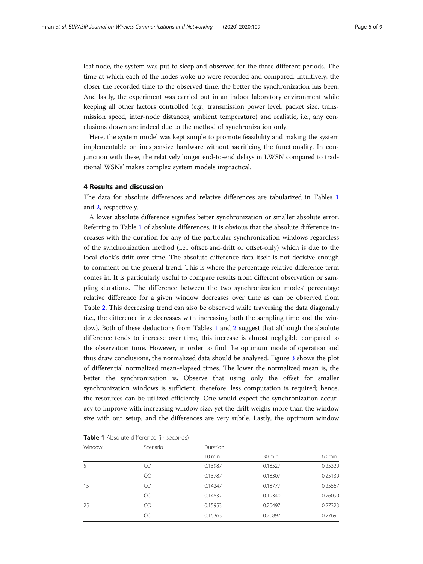leaf node, the system was put to sleep and observed for the three different periods. The time at which each of the nodes woke up were recorded and compared. Intuitively, the closer the recorded time to the observed time, the better the synchronization has been. And lastly, the experiment was carried out in an indoor laboratory environment while keeping all other factors controlled (e.g., transmission power level, packet size, transmission speed, inter-node distances, ambient temperature) and realistic, i.e., any conclusions drawn are indeed due to the method of synchronization only.

Here, the system model was kept simple to promote feasibility and making the system implementable on inexpensive hardware without sacrificing the functionality. In conjunction with these, the relatively longer end-to-end delays in LWSN compared to traditional WSNs' makes complex system models impractical.

## 4 Results and discussion

The data for absolute differences and relative differences are tabularized in Tables 1 and [2,](#page-6-0) respectively.

A lower absolute difference signifies better synchronization or smaller absolute error. Referring to Table 1 of absolute differences, it is obvious that the absolute difference increases with the duration for any of the particular synchronization windows regardless of the synchronization method (i.e., offset-and-drift or offset-only) which is due to the local clock's drift over time. The absolute difference data itself is not decisive enough to comment on the general trend. This is where the percentage relative difference term comes in. It is particularly useful to compare results from different observation or sampling durations. The difference between the two synchronization modes' percentage relative difference for a given window decreases over time as can be observed from Table [2](#page-6-0). This decreasing trend can also be observed while traversing the data diagonally (i.e., the difference in  $\varepsilon$  decreases with increasing both the sampling time and the window). Both of these deductions from Tables 1 and [2](#page-6-0) suggest that although the absolute difference tends to increase over time, this increase is almost negligible compared to the observation time. However, in order to find the optimum mode of operation and thus draw conclusions, the normalized data should be analyzed. Figure [3](#page-6-0) shows the plot of differential normalized mean-elapsed times. The lower the normalized mean is, the better the synchronization is. Observe that using only the offset for smaller synchronization windows is sufficient, therefore, less computation is required; hence, the resources can be utilized efficiently. One would expect the synchronization accuracy to improve with increasing window size, yet the drift weighs more than the window size with our setup, and the differences are very subtle. Lastly, the optimum window

| Window | Scenario  | Duration         |         |                  |
|--------|-----------|------------------|---------|------------------|
|        |           | $10 \text{ min}$ | 30 min  | $60 \text{ min}$ |
| 5      | OD        | 0.13987          | 0.18527 | 0.25320          |
|        | $\rm{OO}$ | 0.13787          | 0.18307 | 0.25130          |
| 15     | <b>OD</b> | 0.14247          | 0.18777 | 0.25567          |
|        | $\rm{OO}$ | 0.14837          | 0.19340 | 0.26090          |
| 25     | <b>OD</b> | 0.15953          | 0.20497 | 0.27323          |
|        | OΟ        | 0.16363          | 0.20897 | 0.27691          |

Table 1 Absolute difference (in seconds)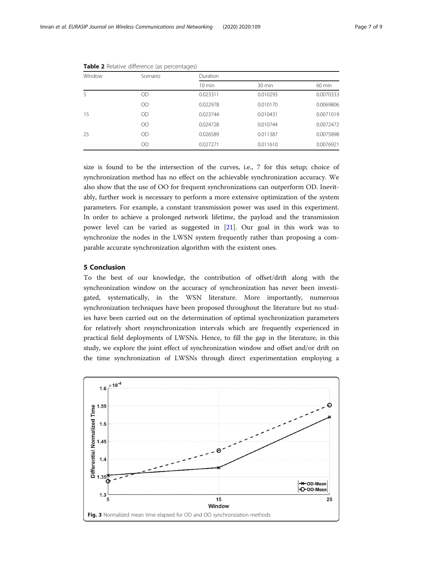| Scenario  | Duration            |          |                  |
|-----------|---------------------|----------|------------------|
|           | $10 \,\mathrm{min}$ | 30 min   | $60 \text{ min}$ |
| <b>OD</b> | 0.023311            | 0.010293 | 0.0070333        |
| OO        | 0.022978            | 0.010170 | 0.0069806        |
| <b>OD</b> | 0.023744            | 0.010431 | 0.0071019        |
| OO        | 0.024728            | 0.010744 | 0.0072472        |
| <b>OD</b> | 0.026589            | 0.011387 | 0.0075898        |
| OO        | 0.027271            | 0.011610 | 0.0076921        |
|           |                     |          |                  |

<span id="page-6-0"></span>Table 2 Relative difference (as percentages)

size is found to be the intersection of the curves, i.e., 7 for this setup; choice of synchronization method has no effect on the achievable synchronization accuracy. We also show that the use of OO for frequent synchronizations can outperform OD. Inevitably, further work is necessary to perform a more extensive optimization of the system parameters. For example, a constant transmission power was used in this experiment. In order to achieve a prolonged network lifetime, the payload and the transmission power level can be varied as suggested in [[21](#page-8-0)]. Our goal in this work was to synchronize the nodes in the LWSN system frequently rather than proposing a comparable accurate synchronization algorithm with the existent ones.

## 5 Conclusion

To the best of our knowledge, the contribution of offset/drift along with the synchronization window on the accuracy of synchronization has never been investigated, systematically, in the WSN literature. More importantly, numerous synchronization techniques have been proposed throughout the literature but no studies have been carried out on the determination of optimal synchronization parameters for relatively short resynchronization intervals which are frequently experienced in practical field deployments of LWSNs. Hence, to fill the gap in the literature, in this study, we explore the joint effect of synchronization window and offset and/or drift on the time synchronization of LWSNs through direct experimentation employing a

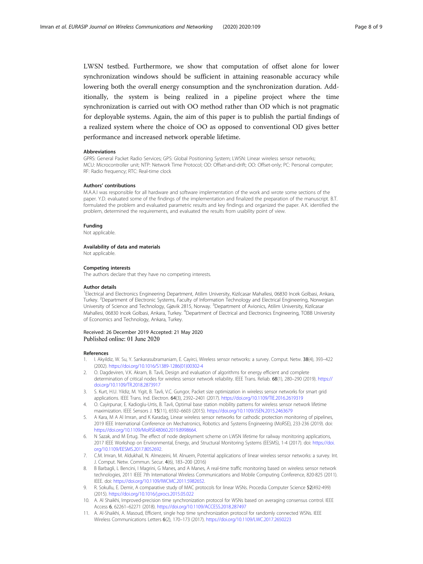<span id="page-7-0"></span>LWSN testbed. Furthermore, we show that computation of offset alone for lower synchronization windows should be sufficient in attaining reasonable accuracy while lowering both the overall energy consumption and the synchronization duration. Additionally, the system is being realized in a pipeline project where the time synchronization is carried out with OO method rather than OD which is not pragmatic for deployable systems. Again, the aim of this paper is to publish the partial findings of a realized system where the choice of OO as opposed to conventional OD gives better performance and increased network operable lifetime.

## Abbreviations

GPRS: General Packet Radio Services; GPS: Global Positioning System; LWSN: Linear wireless sensor networks; MCU: Microcontroller unit; NTP: Network Time Protocol; OD: Offset-and-drift; OO: Offset-only; PC: Personal computer; RF: Radio frequency; RTC: Real-time clock

## Authors' contributions

M.A.A.I was responsible for all hardware and software implementation of the work and wrote some sections of the paper. Y.D. evaluated some of the findings of the implementation and finalized the preparation of the manuscript. B.T. formulated the problem and evaluated parametric results and key findings and organized the paper. A.K. identified the problem, determined the requirements, and evaluated the results from usability point of view.

### Funding

Not applicable.

## Availability of data and materials

Not applicable.

## Competing interests

The authors declare that they have no competing interests.

## Author details

<sup>1</sup>Electrical and Electronics Engineering Department, Atilim University, Kizilcasar Mahallesi, 06830 Incek Golbasi, Ankara, Turkey. <sup>2</sup>Department of Electronic Systems, Faculty of Information Technology and Electrical Engineering, Norwegian University of Science and Technology, Gjøvik 2815, Norway. <sup>3</sup>Department of Avionics, Atilim University, Kizilcasar Mahallesi, 06830 Incek Golbasi, Ankara, Turkey. <sup>4</sup>Department of Electrical and Electronics Engineering, TOBB University of Economics and Technology, Ankara, Turkey.

# Received: 26 December 2019 Accepted: 21 May 2020

## References

- 1. I. Akyildiz, W. Su, Y. Sankarasubramaniam, E. Cayirci, Wireless sensor networks: a survey. Comput. Netw. 38(4), 393–422 (2002). [https://doi.org/10.1016/S1389-1286\(01\)00302-4](https://doi.org/10.1016/S1389-1286(01)00302-4)
- 2. O. Dagdeviren, V.K. Akram, B. Tavli, Design and evaluation of algorithms for energy efficient and complete determination of critical nodes for wireless sensor network reliability. IEEE Trans. Reliab. 68(1), 280–290 (2019). [https://](https://doi.org/10.1109/TR.2018.2873917) [doi.org/10.1109/TR.2018.2873917](https://doi.org/10.1109/TR.2018.2873917)
- 3. S. Kurt, H.U. Yildiz, M. Yigit, B. Tavli, V.C. Gungor, Packet size optimization in wireless sensor networks for smart grid applications. IEEE Trans. Ind. Electron. 64(3), 2392–2401 (2017). <https://doi.org/10.1109/TIE.2016.2619319>
- 4. O. Cayirpunar, E. Kadioglu-Urtis, B. Tavli, Optimal base station mobility patterns for wireless sensor network lifetime maximization. IEEE Sensors J. 15(11), 6592–6603 (2015). <https://doi.org/10.1109/JSEN.2015.2463679>
- 5. A Kara, M A Al Imran, and K Karadag, Linear wireless sensor networks for cathodic protection monitoring of pipelines, 2019 IEEE International Conference on Mechatronics, Robotics and Systems Engineering (MoRSE), 233-236 (2019). doi: <https://doi.org/10.1109/MoRSE48060.2019.8998664>.
- 6. N Sazak, and M Ertug. The effect of node deployment scheme on LWSN lifetime for railway monitoring applications, 2017 IEEE Workshop on Environmental, Energy, and Structural Monitoring Systems (EESMS), 1-4 (2017). doi: [https://doi.](https://doi.org/10.1109/EESMS.2017.8052692) [org/10.1109/EESMS.2017.8052692](https://doi.org/10.1109/EESMS.2017.8052692).
- 7. C.M. Imran, M. Aldukhail, N. Almezeini, M. Alnuem, Potential applications of linear wireless sensor networks: a survey. Int. J. Comput. Netw. Commun. Secur. 4(6), 183–200 (2016)
- 8. B Barbagli, L Bencini, I Magrini, G Manes, and A Manes, A real-time traffic monitoring based on wireless sensor network technologies, 2011 IEEE 7th International Wireless Communications and Mobile Computing Conference, 820-825 (2011). IEEE. doi: [https://doi.org/10.1109/IWCMC.2011.5982652.](https://doi.org/10.1109/IWCMC.2011.5982652)
- 9. R. Sokullu, E. Demir, A comparative study of MAC protocols for linear WSNs. Procedia Computer Science 52(492-499) (2015). <https://doi.org/10.1016/j.procs.2015.05.022>
- 10. A. Al Shaikhi, Improved-precision time synchronization protocol for WSNs based on averaging consensus control. IEEE Access 6, 62261–62271 (2018). <https://doi.org/10.1109/ACCESS.2018.287497>
- 11. A. Al-Shaikhi, A. Masoud, Efficient, single hop time synchronization protocol for randomly connected WSNs. IEEE Wireless Communications Letters 6(2), 170–173 (2017). <https://doi.org/10.1109/LWC.2017.2650223>